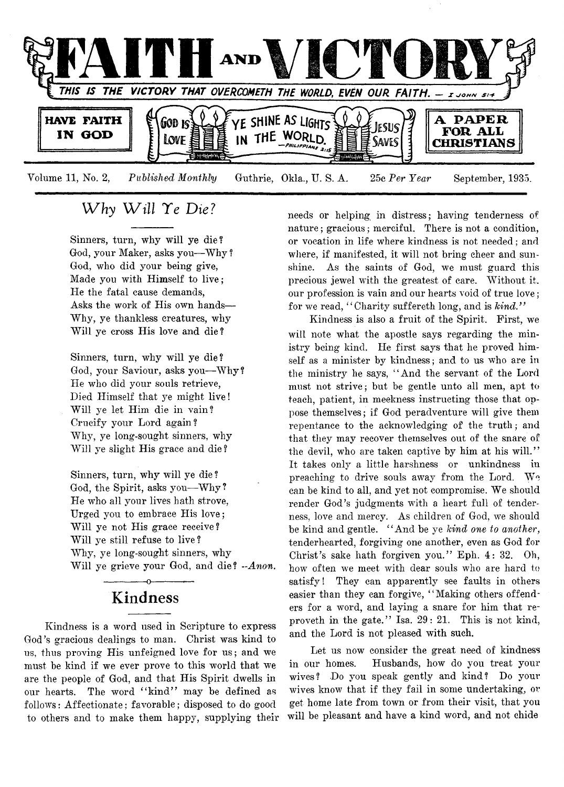

# *W hy W ill Te Die?*

Sinners, turn, why will ye die? God, your Maker, asks you—Why ? God, who did your being give, Made you with Himself to live; He the fatal cause demands, Asks the work of His own hands— Why, ye thankless creatures, why Will ye cross His love and die?

Sinners, turn, why will ye die? God, your Saviour, asks you— Why ? He who did your souls retrieve, Died Himself that ye might live! Will ye let Him die in vain? Crucify your Lord again? Why, ye long-sought sinners, why Will ye slight His grace and die ?

Sinners, turn, why will ye die ? God, the Spirit, asks you—Why? He who all your lives hath strove, Urged you to embrace His love; Will ye not His grace receive? Will ye still refuse to live ? Why, ye long-sought sinners, why Will ye grieve your God, and die? *-Anon.*

# ------------- o---------.— **Kindness**

Kindness is a word used in Scripture to express God's gracious dealings to man. Christ was kind to us, thus proving His unfeigned love for us; and we must be kind if we ever prove to this world that we are the people of God, and that His Spirit dwells in our hearts. The word "kind" may be defined as follows: Affectionate; favorable; disposed to do good to others and to make them happy, supplying their needs or helping in distress; having tenderness of nature; gracious; merciful. There is not a condition, or vocation in life where kindness is not needed; and where, if manifested, it will not bring cheer and sunshine. As the saints of God, we must guard this precious jewel with the greatest of care. Without it. our profession is vain and our hearts void of true love; for we read, " Charity suffereth long, and is *kind."*

Kindness is also a fruit of the Spirit. First, we will note what the apostle says regarding the ministry being kind. He first says that he proved himself as a minister by kindness; and to us who are in the ministry he says, " And the servant of the Lord must not strive; but be gentle unto all men, apt to teach, patient, in meekness instructing those that oppose themselves; if God peradventure will give them repentance to the acknowledging of the truth; and that they may recover themselves out of the snare of the devil, who are taken captive by him at his will." It takes only a little harshness or unkindness in preaching to drive souls away from the Lord. We can be kind to all, and yet not compromise. We should render God's judgments with a heart full of tenderness, love and mercy. As children of God, we should be kind and gentle. " And be ye *kind one to another*, tenderhearted, forgiving one another, even as God for Christ's sake hath forgiven you." Eph. 4: 32. Oh, how often we meet with dear souls who are hard to satisfy! They can apparently see faults in others easier than they can forgive, " Making others offenders for a word, and laying a snare for him that reproveth in the gate." Isa. 29: 21. This is not kind, and the Lord is not pleased with such.

Let us now consider the great need of kindness in our homes. Husbands, how do you treat your wives? Do you speak gently and kind? Do your wives know that if they fail in some undertaking, or get home late from town or from their visit, that you will be pleasant and have a kind word, and not chide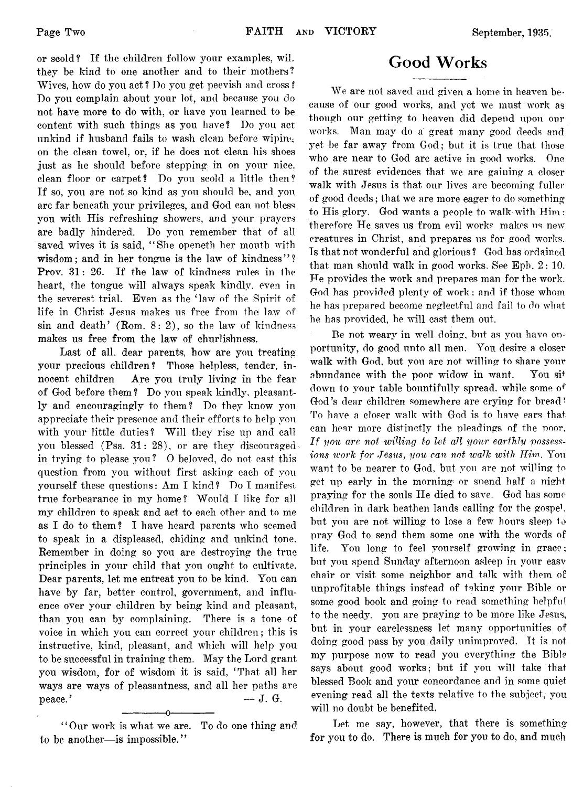or scold? If the children follow your examples, wiL they be kind to one another and to their mothers? Wives, how do you act ? Do you get peevish and cross ? Do you complain about your lot, and because you do not have more to do with, or have you learned to be content with such things as you have? Do you act unkind if husband fails to wash clean before wiping on the clean towel, or, if he does not clean his shoes just as he should before stepping in on your nice, clean floor or carpet? Do you scold a little then? If so, you are not so kind as you should be, and you are far beneath your privileges, and God can not bless you with His refreshing showers, and your prayers are badly hindered. Do you remember that of all saved wives it is said, "She openeth her mouth with wisdom; and in her tongue is the law of kindness''? Prov. 31: 26. If the law of kindness rules in the heart, the tongue will always speak kindly, even in the severest trial. Even as the 'law of the Spirit of life in Christ Jesus makes us free from the law of sin and death' (Rom.  $8: 2$ ), so the law of kindness makes us free from the law of churlishness.

Last of all, dear parents, how are you treating your precious children? Those helpless, tender, innocent children Are you truly living in the fear of God before them? Do you speak kindly, pleasantly and encouragingly to them? Do they know you appreciate their presence and their efforts to help you with your little duties? Will they rise up and call you blessed (Psa. 31: 28), or are they discouraged in trying to please you? 0 beloved, do not cast this question from you without first asking each of you yourself these questions: Am I kind? Do I manifest true forbearance in my home? Would I like for all my children to speak and act to each other and to me as I do to them? I have heard parents who seemed to speak in a displeased, chiding and unkind tone. Remember in doing so you are destroying the true principles in your child that you ought to cultivate. Dear parents, let me entreat you to be kind. You can have by far, better control, government, and influence over your children by being kind and pleasant, than you can by complaining. There is a tone of voice in which you can correct your children; this is instructive, kind, pleasant, and which will help you to be successful in training them. May the Lord grant you wisdom, for of wisdom it is said, 'That all her ways are ways of pleasantness, and all her paths are  $peace.$ <sup>7</sup> — J. G.

------------- o------------- " Our work is what we are. To do one thing and to be another—is impossible."

# **Good Works**

We are not saved and given a home in heaven because of our good works, and yet we must work as though our getting to heaven did depend upon our works. Man may do a great many good deeds and yet be far away from God; but it is true that those who are near to God are active in good works. One of the surest evidences that we are gaining a closer walk with Jesus is that our lives are becoming fuller of good deeds; that we are more eager to do something to His glory. God wants a people to walk with Him: therefore He saves us from evil works makes us new creatures in Christ, and prepares us for good works. Ts that not wonderful and glorious ? God has ordained that man should walk in good works. See Eph. 2: 10. He provides the work and prepares man for the work. God has provided plenty of work: and if those whom he has prepared become neglectful and fail to do what he has provided, he will cast them out.

Be not weary in well doing, but as you have opportunity, do good unto all men. You desire a closer walk with God, but you are not willing to share vour abundance with the poor widow in want. You sit down to your table bountifully spread, while some o<sup> $e$ </sup> God's dear children somewhere are crying for bread' To have a closer walk with God is to have ears that can hear more distinctly the pleadings of the poor. *If you are not willing to let all your earthly possessions work for Jesus*, *you can not walk with Him.* You want to be nearer to God, but you are not willing to get up early in the morning or snend half a night praying for the souls He died to save. God has some children in dark heathen lands calling for the gospe<sup>1</sup>, but you are not willing to lose a few hours sleep to pray God to send them some one with the words of life. You long to feel yourself growing in grace; but you spend Sunday afternoon asleep in your easv chair or visit some neighbor and talk with them ot unprofitable things instead of taking your Bible or some good book and going to read something helpful to the needy, you are praying to be more like Jesus, but in your carelessness let many opportunities of doing good pass by you daily unimproved. It is not my purpose now to read you everything the Bible says about good works; but if you will take that blessed Book and your concordance and in some quiet evening read all the texts relative to the subject, you will no doubt be benefited.

Let me say, however, that there is something for you to do. There is much for yon to do, and much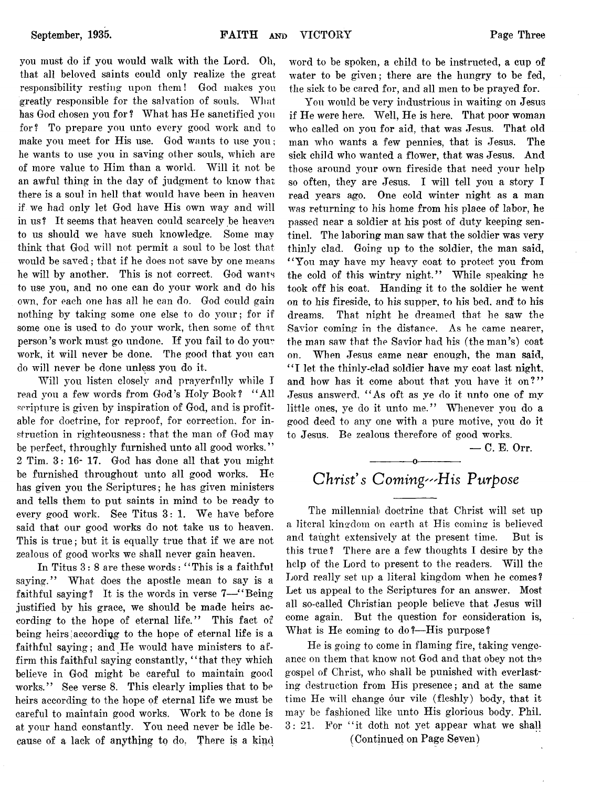you must do if you would walk with the Lord. Oh, that all beloved saints could only realize the great responsibility resting upon them! God makes you greatly responsible for the salvation of souls. What has God chosen you for? What has He sanctified you for? To prepare you unto every good work and to make you meet for His use. God wants to use you ; he wants to use you in saving other souls, which are of more value to Him than a world. Will it not be an awful thing in the day of judgment to know that there is a soul in hell that would have been in heaven if we had only let God have His own way and will in us ? It seems that heaven could scarcely be heaven to us should we have such knowledge. Some may think that God will not permit a soul to be lost that would be saved; that if he does not save by one means he will by another. This is not correct. God wants to use you, and no one can do your work and do his own, for each one has all he can do. God could gain nothing by taking some one else to do your; for if some one is used to do your work, then some of that person's work must go undone. If you fail to do your work, it will never be done. The good that you can do will never be done unless you do it.

Will you listen closely and prayerfully while I read you a few words from God's Holy Book? " All scripture is given by inspiration of God, and is profitable for doctrine, for reproof, for correction, for instruction in righteousness: that the man of God may be perfect, throughly furnished unto all good works." 2 Tim. 3: 16- 17. God has done all that you might be furnished throughout unto all good works. He has given you the Scriptures; he has given ministers and tells them to put saints in mind to be ready to every good work. See Titus 3: 1. We have before said that our good works do not take us to heaven. This is true; but it is equally true that if we are not zealous of good works we shall never gain heaven.

In Titus 3: 8 are these words: " This is a faithful saying." What does the apostle mean to say is a faithful saying? It is the words in verse 7—"Being justified by his grace, we should be made heirs according to the hope of eternal life." This fact of being heirs; according to the hope of eternal life is a faithful saying; and He would have ministers to affirm this faithful saying constantly, "that they which believe in God might be careful to maintain good works." See verse 8. This clearly implies that to be heirs according to the hope of eternal life we must be careful to maintain good works. Work to be done is at your hand constantly. You need never be idle because of a lack of anything to do, There is a kind word to be spoken, a child to be instructed, a cup of water to be given; there are the hungry to be fed, the sick to be cared for, and all men to be prayed for.

You would be very industrious in waiting on Jesus if He were here. Well, He is here. That poor woman who called on you for aid, that was Jesus. That old man who wants a few pennies, that is Jesus. The sick child who wanted a flower, that was Jesus. And those around your own fireside that need your help so often, they are Jesus. I will tell you a story I read years ago. One cold winter night as a man was returning to his home from his place of labor, he passed near a soldier at his post of duty keeping sentinel. The laboring man saw that the soldier was very thinly clad. Going up to the soldier, the man said, " You may have my heavy coat to protect you from the cold of this wintry night." While speaking he took off his coat. Handing it to the soldier he went on to his fireside, to his supper, to his bed, and to his dreams. That night he dreamed that he saw the Savior coming in the distance. As he came nearer, the man saw that the Savior had his (the man's) coat on. When Jesus came near enough, the man said, "I let the thinly-clad soldier have my coat last night, and how has it come about that you have it on?" Jesus answerd, " As oft as ye do it unto one of my little ones, ye do it unto me." Whenever you do a good deed to any one with a pure motive, you do it to Jesus. Be zealous therefore of good works.

— C. E. Orr.

# ------------- o------------- *Christ's Coming'"His Purpose*

The millennial doctrine that Christ will set up a literal kingdom on earth at His coming is believed and taught extensively at the present time. But is this true? There are a few thoughts I desire by the help of the Lord to present to the readers. Will the Lord really set up a literal kingdom when he comes? Let us appeal to the Scriptures for an answer. Most all so-called Christian people believe that Jesus will come again. But the question for consideration is, What is He coming to do?— His purpose?

He is going to come in flaming fire, taking vengeance on them that know not God and that obey not the gospel of Christ, who shall be punished with everlasting destruction from His presence; and at the same time He will change our vile (fleshly) body, that it may be fashioned like unto His glorious body. Phil. 3: 21. For "it doth not yet appear what we shall (Continued on Page Seven)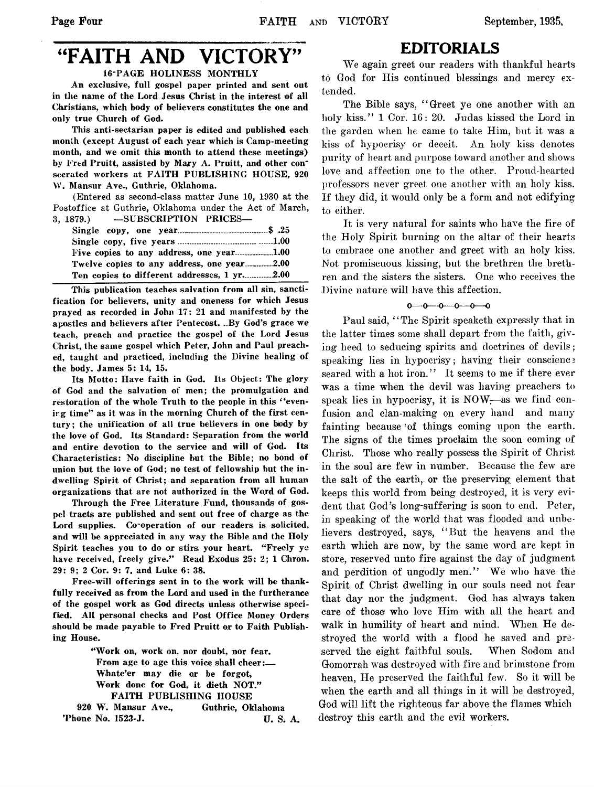# "FAITH AND VICTORY"

16-PAGE HOLINESS MONTHLY

An exclusive, full gospel paper printed and sent out in the name of the Lord Jesus Christ in the interest of all Christians, which body of believers constitutes the one and only true Church of God.

This anti-sectarian paper is edited and published each month (except August of each year which is Camp-meeting month, and we omit this month to attend these meetings) by Fred Pruitt, assisted by Mary A. Pruitt, and other consecrated workers at FAITH PUBLISHING HOUSE, 920 W. Mansur Ave., Guthrie, Oklahoma.

(Entered as second-class matter June 10, 1930 at the Postoffice at Guthrie, Oklahoma under the Act of March, 3, 1879.) —SUBSCRIPTION PRICES—

| Twelve copies to any address, one year2.00  |  |
|---------------------------------------------|--|
| Ten copies to different addresses, 1 yr2.00 |  |

This publication teaches salvation from all sin, sanctification for believers, unity and oneness for which Jesus prayed as recorded in John 17: 21 and manifested by the apostles and believers after Pentecost. ..By God's grace we teach, preach and practice the gospel of the Lord Jesus Christ, the same gospel which Peter, John and Paul preached, taught and practiced, including the Divine healing of the body. James 5: 14, 15.

Its Motto: Have faith in God. Its Object: The glory of God and the salvation of men; the promulgation and restoration of the whole Truth to the people in this "evening time" as it was in the morning Church of the first century; the unification of all true believers in one body by the love of God. Its Standard: Separation from the world and entire devotion to the service and will of God. Its Characteristics: No discipline but the Bible; no bond of union but the love of God; no test of fellowship but the indwelling Spirit of Christ; and separation from all human organizations that are not authorized in the Word of God.

Through the Free Literature Fund, thousands of gospel tracts are published and sent out free of charge as the Lord supplies. Co-operation of our readers is solicited, and will be appreciated in any way the Bible and the Holy Spirit teaches you to do or stirs your heart. "Freely ye have received, freely give." Read Exodus 25: 2; 1 Chron. 29: 9; 2 Cor. 9: 7, and Luke 6: 38.

Free-will offerings sent in to the work will be thankfully received as from the Lord and used in the furtherance of the gospel work as God directs unless otherwise specified. All personal checks and Post Office Money Orders should be made payable to Fred Pruitt or to Faith Publishing House.

> "Work on, work on, nor doubt, nor fear. From age to age this voice shall cheer:— Whate'er may die or be forgot, Work done for God, it dieth NOT." FAITH PUBLISHING HOUSE

920 W. Mansur Ave., Guthrie, Oklahoma 'Phone No. 1523-J. U. S. A.

# EDITORIALS

We again greet onr readers with thankful hearts to God for His continued blessings and mercy extended.

The Bible says, "Greet ye one another with an holy kiss." 1 Cor. 16: 20. Judas kissed the Lord in the garden when he came to take Him, but it was a kiss of hypocrisy or deceit. An holy kiss denotes purity of heart and purpose toward another and shows love and affection one to the other. Proud-hearted professors never greet one another with an holy kiss. If they did, it would only be a form and not edifying to either.

It is very natural for saints who have the fire of the Holy Spirit burning on the altar of their hearts to embrace one another and greet with an holy kiss. Not promiscuous kissing, but the brethren the brethren and the sisters the sisters. One who receives the Divine nature will have this affection.

## $0 - 0 - 0 - 0 - 0 - 0$

Paul said, "The Spirit speaketh expressly that in the latter times some shall depart from the faith, giving heed to seducing spirits and doctrines of devils; speaking lies in hypocrisy; having their conscience seared with a hot iron." It seems to me if there ever was a time when the devil was having preachers to speak lies in hypocrisy, it is NOW-—as we find confusion and clan-making on every hand and many fainting because of things coming upon the earth. The signs of the times proclaim the soon coming of Christ. Those who really possess the Spirit of Christ in the soul are few in number. Because the few are the salt of the earth, or the preserving element that keeps this world from being destroyed, it is very evident that God's long-suffering is soon to end. Peter, in speaking of the world that was flooded and unbelievers destroyed, says, " But the heavens and the earth which are now, by the same word are kept in store, reserved unto fire against the day of judgment and perdition of ungodly men." We who have the Spirit of Christ dwelling in our souls need not fear that day nor the judgment. God has always taken care of those who love Him with all the heart and walk in humility of heart and mind. When He destroyed the world with a flood he saved and preserved the eight faithful souls. When Sodom and Gomorrah was destroyed with fire and brimstone from heaven, He preserved the faithful few. So it will be when the earth and all things in it will be destroyed, God will lift the righteous far above the flames which destroy this earth and the evil workers.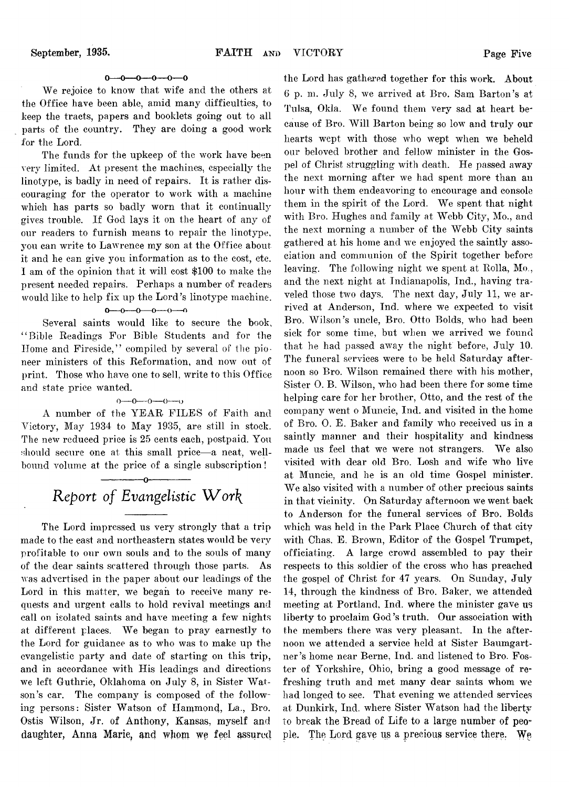## $0 \rightarrow 0 \rightarrow 0 \rightarrow 0 \rightarrow 0$

We rejoice to know that wife and the others at the Office have been able, amid many difficulties, to keep the tracts, papers and booklets going out to all parts of the country. They are doing a good work for the Lord.

The funds for the upkeep of the work have been very limited. At present the machines, especially the linotype, is badly in need of repairs. It is rather discouraging for the operator to work with a machine which has parts so badly worn that it continually gives trouble. If God lays it on the heart of any of our readers to furnish means to repair the linotype, you can write to Lawrence my son at the Office about it and he can give you information as to the cost, etc. I am of the opinion that it will cost \$100 to make the present needed repairs. Perhaps a number of readers would like to help fix up the Lord's linotype machine.

## $0 - 0 - 0 - 0 - 0$

Several saints would like to secure the book, " Bible Readings For Bible Students and for the Home and Fireside," compiled by several of the pioneer ministers of this Reformation, and now out of print. Those who have one to sell, write to this Office and state price wanted.

# $0 \rightarrow 0 \rightarrow 0 \rightarrow 0 \rightarrow 0$

A number of the YEAR FILES of Faith and Victory, May 1934 to May 1935, are still in stock. The new reduced price is 25 cents each, postpaid. You should secure one at this small price-a neat, wellbound volume at the price of a single subscription!

# *Report of Evangelistic W o r \*

------------- o-------------

The Lord impressed us very strongly that a trip made to the east and northeastern states would be very profitable to our own souls and to the souls of many of the dear saints scattered through those parts. As was advertised in the paper about our leadings of the Lord in this matter, we began to receive many requests and urgent calls to hold revival meetings and call on isolated saints and have meeting a few nights at different places. We began to pray earnestly to the Lord for guidance as to who was to make up the evangelistic party and date of starting on this trip, and in accordance with His leadings and directions we left Guthrie, Oklahoma on July 8, in Sister Watson's car. The company is composed of the following persons: Sister Watson of Hammond, La., Bro. Ostis Wilson, Jr. of Anthony, Kansas, myself and daughter, Anna Marie, and whom we feel assured

the Lord has gathered together for this work. About 6 p. m. July 8, we arrived at Bro. Sam Barton's at Tulsa, Okla. We found them very sad at heart because of Bro. Will Barton being so low and truly our hearts wept with those who wept when we beheld our beloved brother and fellow minister in the Gospel of Christ struggling with death. He passed away the next morning after we had spent more than an hour with them endeavoring to encourage and console them in the spirit of the Lord. We spent that night with Bro. Hughes and family at Webb City, Mo., and the next morning a number of the Webb City saints gathered at his home and we enjoyed the saintly association and communion of the Spirit together before leaving. The following night we spent at Rolla, Mo., and the next night at Indianapolis, Ind., having traveled those two days. The next day, July 11, we arrived at Anderson, Ind. where we expected to visit Bro. Wilson's uncle, Bro. Otto Bolds, who had been sick for some time, but when we arrived we found that he had passed away the night before, July 10. The funeral services were to be held Saturday afternoon so Bro. Wilson remained there with his mother, Sister 0. B. Wilson, who had been there for some time helping care for her brother, Otto, and the rest of the company went o Muncie, Ind. and visited in the home of Bro. 0. E. Baker and family who received us in a saintly manner and their hospitality and kindness made us feel that we were not strangers. We also visited with dear old Bro. Losh and wife who live at Muncie, and he is an old time Gospel minister. We also visited with a number of other precious saints in that vicinity. On Saturday afternoon we went back to Anderson for the funeral services of Bro. Bolds which was held in the Park Place Church of that city with Chas. E. Brown, Editor of the Gospel Trumpet, officiating. A large crowd assembled to pay their respects to this soldier of the cross who has preached the gospel of Christ for 47 years. On Sunday, July 14, through the kindness of Bro. Baker, we attended meeting at Portland, Ind. where the minister gave us liberty to proclaim God's truth. Our association with the members there was very pleasant. In the afternoon we attended a service held at Sister Baumgartner 's home near Berne, Ind. and listened to Bro. Foster of Yorkshire, Ohio, bring a good message of refreshing truth and met many dear saints whom we had longed to see. That evening we attended services at Dunkirk, Ind. where Sister Watson had the liberty to break the Bread of Life to a large number of people. The Lord gave us a precious service there. We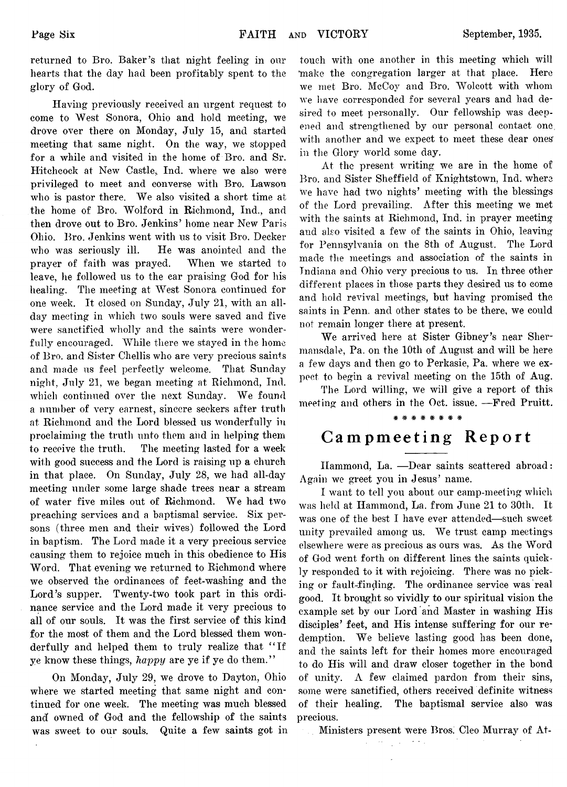returned to Bro. Baker's that night feeling in our hearts that the day had been profitably spent to the glory of Ood.

Having previously received an urgent request to come to West Sonora, Ohio and hold meeting, we drove over there on Monday, July 15, and started meeting that same night. On the way, we stopped for a while and visited in the home of Bro. and Sr. Hitchcock at New Castle, Ind. where we also were privileged to meet and converse with Bro. Lawson who is pastor there. We also visited a short time at the home of Bro. Wolford in Richmond, Ind., and then drove out to Bro. Jenkins' home near New Paris Ohio. Bro. Jenkins went with us to visit Bro. Decker who was seriously ill. He was anointed and the prayer of faith was prayed. When we started to leave, he followed us to the car praising God for his healing. The meeting at West Sonora continued for one week. It closed on Sunday, July 21, with an allday meeting in which two souls were saved and five were sanctified wholly and the saints were wonderfully encouraged. While there we stayed in the home of Bro. and Sister Chellis who are very precious saints and made us feel perfectly welcome. That Sunday night, July 21, we began meeting at Richmond, Ind. which continued over the next Sunday. We found a number of very earnest, sincere seekers after truth at Richmond and the Lord blessed us wonderfully in proclaiming the truth unto them and in helping them to receive the truth. The meeting lasted for a week with good success and the Lord is raising up a church in that place. On Sunday, July 28, we had all-day meeting under some large shade trees near a stream of water five miles out of Richmond. We had two preaching services and a baptismal service. Six persons (three men and their wives) followed the Lord in baptism. The Lord made it a very precious service causing them to rejoice much in this obedience to His Word. That evening we returned to Richmond where we observed the ordinances of feet-washing and the Lord's supper. Twenty-two took part in this ordinance service and the Lord made it very precious to all of our souls. It was the first service of this kind for the most of them and the Lord blessed them wonderfully and helped them to truly realize that " If ye know these things, *happy* are ye if ye do them."

On Monday, July 29, we drove to Dayton, Ohio where we started meeting that same night and continued for one week. The meeting was much blessed and' owned of God and the fellowship of the saints was sweet to our souls. Quite a few saints got in touch with one another in this meeting which will 'make the congregation larger at that place. Here we met Bro. McCoy and Bro. Wolcott with whom we have corresponded for several years and had desired to meet personally. Our fellowship was deepened and strengthened by our personal contact one with another and we expect to meet these dear ones' in the Glory world some day.

At the present writing we are in the home of Bro. and Sister Sheffield of Knightstown, Ind. where we have had two nights' meeting with the blessings of the Lord prevailing. After this meeting we met with the saints at Richmond, Ind. in prayer meeting and also visited a few of the saints in Ohio, leaving for Pennsylvania on the 8th of August. The Lord made the meetings and association of the saints in Indiana and Ohio very precious to us. In three other different places in those parts they desired us to come and hold revival meetings, but having promised the saints in Penn, and other states to be there, we could not remain longer there at present.

We arrived here at Sister Gibney's near Shermansdale, Pa. on the 10th of August and will be here a few days and then go to Perkasie, Pa. where we expect to begin a revival meeting on the 15th of Aug.

The Lord willing, we will give a report of this meeting and others in the Oct. issue. — Fred Pruitt. \*\*\*\*\*\*\*\*

# **Campmeeting Report**

Hammond, La. — Dear saints scattered abroad: Again we greet you in Jesus' name.

I want to tell you about our camp-meeting which was held at Hammond, La. from June 21 to 30th. It was one of the best I have ever attended— such sweet unity prevailed among us. We trust camp meetings elsewhere were as precious as ours was. As the Word of God went forth on different lines the saints quickly responded to it with rejoicing. There was no picking or fault-finding. The ordinance service was real good. It brought so vividly to our spiritual vision the example set by our Lord and Master in washing His disciples' feet, and His intense suffering for our redemption. We believe lasting good has been done, and the saints left for their homes more encouraged to do His will and draw closer together in the bond of unity.  $\Lambda$  few claimed pardon from their sins, some were sanctified, others received definite witness of their healing. The baptismal service also was precious.

Ministers present were Bros. Cleo Murray of At-

 $\sim$   $\sim$  .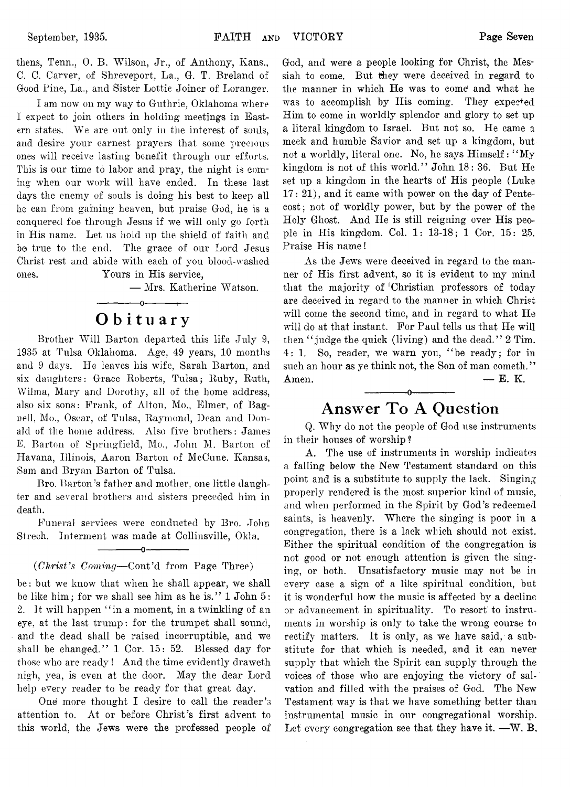thens, Tenn., 0. R. Wilson, Jr., of Anthony, Rans., C. C. Carver, of Shreveport, La., G. T. Breland of Good Pine, La., and Sister Lottie Joiner of Loranger.

I am now on my way to Guthrie, Oklahoma where I expect to join others in holding meetings in Eastern states. We are out only in the interest of souls, and desire your earnest prayers that some precious ones will receive lasting benefit through our efforts. This is our time to labor and pray, the night is coming when our work will have ended. In these last days the enemy of souls is doing his best to keep all he can from gaining heaven, but praise God, he is a conquered foe through Jesus if we will only go forth in His name. Let us hold up the shield of faith and be true to the end. The grace of our Lord Jesus Christ rest and abide with each of you blood-washed ones. Yours in His service,

— Mrs. Katherine Watson.

# **O b ituary**

------------- o--------- 1—

Brother Will Barton departed this life July 9, 1935 at Tulsa Oklahoma. Age, 49 years, 10 months and 9 days. He leaves his wife, Sarah Barton, and six daughters: Grace Roberts, Tulsa; Ruby, Ruth, Wilma, Mary and Dorothy, all of the home address, also six sons: Frank, of Alton, Mo., Elmer, of Bagnell, Mo., Oscar, of Tulsa, Raymond, Dean and Donald of the home address. Also five brothers: James E. Barton of Springfield, Mo., John M. Barton of Havana, Illinois, Aaron Barton of McCune, Kansas, Sam and Bryan Barton of Tulsa.

Bro. Barton's father and mother, one little daughter and several brothers and sisters preceded him in death.

Funeral services were conducted by Bro. John Strech. Interment was made at Collinsville, Okla.

 $-0-$ 

## (*Christ's Coming*—Cont'd from Page Three)

be: but we know that when he shall appear, we shall be like him; for we shall see him as he is." 1 John 5: 2. It will happen "in a moment, in a twinkling of an eye, at the last trump: for the trumpet shall sound, and the dead shall be raised incorruptible, and we shall be changed." 1 Cor. 15: 52. Blessed day for those who are ready ! And the time evidently draweth nigh, yea, is even at the door. May the dear Lord help every reader to be ready for that great day.

One more thought I desire to call the reader's attention to. At or before Christ's first advent to this world, the Jews were the professed people of

God, and were a people looking for Christ, the Messiah to come. But they were deceived in regard to the manner in which He was to come and what he was to accomplish by His coming. They expected Him to come in worldly splendor and glory to set up a literal kingdom to Israel. But not so. He came a meek and humble Savior and set up a kingdom, but not a worldly, literal one. No, he says Himself: " My kingdom is not of this world." John 18: 36. But He set up a kingdom in the hearts of His people (Luke 17: 21), and it came with power on the day of Pentecost ; not of worldly power, but by the power of the Holy Ghost. And He is still reigning over His people in His kingdom. Col. 1: 13-18; 1 Cor. 15: 25. Praise His name!

As the Jews were deceived in regard to the manner of His first advent, so it is evident to my mind that the majority of 'Christian professors of today are deceived in regard to the manner in which Christ will come the second time, and in regard to what He will do at that instant. For Paul tells us that He will then " judge the quick (living) and the dead." 2 Tim. 4: 1. So, reader, we warn you, "be ready; for in such an hour as ye think not, the Son of man cometh."  $A$ men.  $- E. K$ . ------------- o-------------

# **Answer To A Question**

Q. Why do not the people of God use instruments in their houses of worship ?

A. The use of instruments in worship indicates a falling below the New Testament standard on this point and is a substitute to supply the lack. Singing properly rendered is the most superior kind of music, and when performed in the Spirit by God's redeemed saints, is heavenly. Where the singing is poor in a congregation, there is a lack which should not exist. Either the spiritual condition of the congregation is not good or not enough attention is given the singing, or both. Unsatisfactory music may not be in every case a sign of a like spiritual condition, but it is wonderful how the music is affected by a decline or advancement in spirituality. To resort to instruments in worship is only to take the wrong course to rectify matters. It is only, as we have said, a substitute for that which is needed, and it can never supply that which the Spirit can supply through the voices of those who are enjoying the victory of salvation and filled with the praises of God. The New Testament way is that we have something better than instrumental music in our congregational worship. Let every congregation see that they have it. — W. B.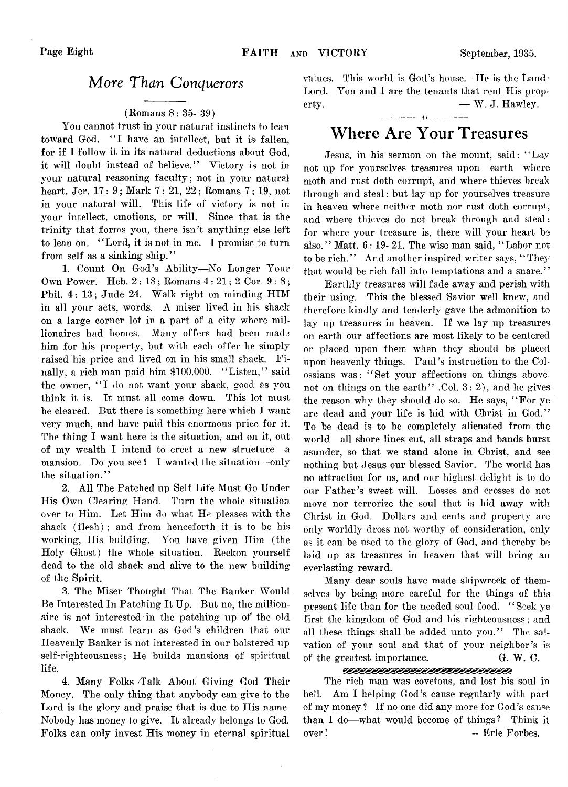# More *Than Conquerors*

## (Romans 8: 35- 39)

You cannot trust in your natural instincts to lean toward God. "I have an intellect, but it is fallen, for if I follow it in its natural deductions about God, it will doubt instead of believe." Victory is not in your natural reasoning faculty; not in your natural heart. Jer. 17: 9; Mark 7: 21, 22; Romans 7; 19, not in your natural will. This life of victory is not in your intellect, emotions, or will. Since that is the trinity that forms you, there isn't anything else left to lean on. "Lord, it is not in me. I promise to turn from self as a sinking ship."

1. Count On God's Ability— No Longer Your Own Power. Heb. 2 : 18; Romans 4: 21; 2 Cor. 9:8; Phil. 4: 13; Jude 24. Walk right on minding HIM in all your acts, words. A miser lived in his shack on a large corner lot in a part of a city where millionaires had homes. Many offers had been made him for his property, but with each offer he simply raised his price and lived on in his small shack. Finally, a rich man paid him \$100,000. "Listen," said the owner, "I do not want your shack, good as you think it is. It must all come down. This lot must be cleared. But there is something here which I want very much, and have paid this enormous price for it. The thing I want here is the situation, and on it, out of my wealth I intend to erect a new structure— a mansion. Do you see? I wanted the situation-only the situation."

2. All The Patched up Self Life Must Go Under His Own Clearing Hand. Turn the whole situation over to Him. Let Him do what He pleases with the shack (flesh) ; and from henceforth it is to be his working, His building. You have given Him (the Holy Ghost) the whole situation. Reckon yourself dead to the old shack and alive to the new building of the Spirit.

3. The Miser Thought That The Banker Would Be Interested In Patching It Up. But no, the millionaire is not interested in the patching up of' the old shack. We must learn as God's children that our Heavenly Banker is not interested in our bolstered up self-righteousness; He builds mansions of spiritual life.

4. Many Folks Talk About Giving God Their Money. The only thing that anybody can give to the Lord is the glory and praise that is due to His name Nobody has money to give. It already belongs to God. Folks can only invest His money in eternal spiritual values. This world is God's house. He is the Land-Lord. You and I are the tenants that rent His property. — W. J. Hawley.

# **Where Are Your Treasures**

Jesus, in his sermon on the mount, said: " Lay not up for yourselves treasures upon earth where moth and rust doth corrupt, and where thieves break through and steal: but lay up for yourselves treasure in heaven where neither moth nor rust doth corrupt, and where thieves do not break through and steal: for where your treasure is, there will your heart be also." Matt. 6: 19- 21. The wise man said, " Labor not to be rich." And another inspired writer says, "They that would be rich fall into temptations and a snare. ' '

Earthly treasures will fade away and perish with their using. This the blessed Savior well knew, and therefore kindly and tenderly gave the admonition to lay up treasures in heaven. If we lay up treasures on earth our affections are most likely to be centered or placed upon them when they should be placed upon heavenly things. Paul's instruction to the Colossians was: " Set your affections on things above, not on things on the earth" .Col.  $3: 2$ ), and he gives the reason why they should do so. He says, "For ye are dead and your life is hid with Christ in God." To be dead is to be completely alienated from the world— all shore lines cut, all straps and bands burst asunder, so that we stand alone in Christ, and see nothing but Jesus our blessed Savior. The world has no attraction for us, and our highest delight is to do our Father's sweet will. Losses and crosses do not move nor terrorize the soul that is hid away with Christ in God. Dollars and cents and property are only worldly dross not worthy of consideration, only as it can be used to the glory of God, and thereby be laid up as treasures in heaven that will bring an everlasting reward.

Many dear souls have made shipwreck of themselves by being more careful for the things of this present life than for the needed soul food. ' ' Seek ye first the kingdom of God and his righteousness; and all these things shall be added unto you." The salvation of your soul and that of your neighbor's is of the greatest importance. G. *W.* C.

## <u> 10000000000000000000000000</u>

The rich man was covetous, and lost his soul in hell. Am I helping God's cause regularly with part of my money ? If no one did any more for God's cause than I do— what would become of things? Think it over! - Erle Forbes,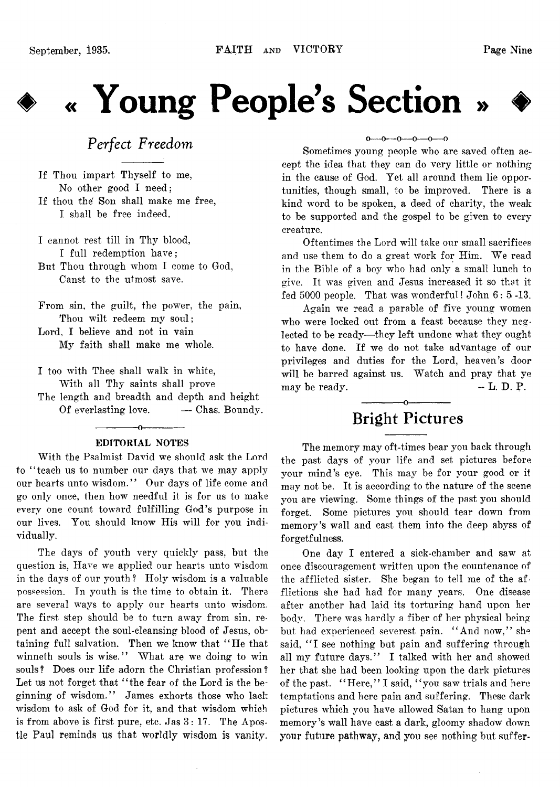

# **#> « Young People's Section » ♦**



# *Perfect Freedom*

If Thou impart Thyself to me, No other good I need; If thou the' Son shall make me free, I shall be free indeed.

I cannot rest till in Thy blood, I full redemption have; But Thou through whom I come to God, Canst to the utmost save.

From sin, the guilt, the power, the pain, Thou wilt redeem my soul; Lord, I believe and not in vain My faith shall make me whole.

I too with Thee shall walk in white, With all Thy saints shall prove The length and breadth and depth and height Of everlasting love. — Chas. Boundy.

# ------------- o------------- EDITORIAL NOTES

With the Psalmist David we should ask the Lord to "teach us to number our days that we may apply our hearts unto wisdom." Our days of life come and go only once, then how needful it is for us to make every one count toward fulfilling God's purpose in our lives. You should know His will for you individually.

The days of youth very quickly pass, but the question is, Have we applied our hearts unto wisdom in the days of our youth? Holy wisdom is a valuable possession. In youth is the time to obtain it. There are several ways to apply our hearts unto wisdom. The first step should be to turn away from sin, repent and accept the soul-cleansing blood of Jesus, obtaining full salvation. Then we know that " He that winneth souls is wise." What are we doing to win souls? Does our life adorn the Christian profession? Let us not forget that "the fear of the Lord is the beginning of wisdom." James exhorts those who lack wisdom to ask of God for it, and that wisdom which is from above is first pure, etc. Jas 3: 17. The Apostle Paul reminds us that worldly wisdom is vanity.

### $0 \rightarrow 0 \rightarrow 0 \rightarrow 0 \rightarrow 0 \rightarrow 0$

Sometimes young people who are saved often accept the idea that they can do very little or nothing in the cause of God. Yet all around them lie opportunities, though small, to be improved. There is a kind word to be spoken, a deed of charity, the weak to be supported and the gospel to be given to every creature.

Oftentimes the Lord will take our small sacrifices and use them to do a great work for Him. We read in the Bible of a boy who had only a small lunch to give. It was given and Jesus increased it so that it fed 5000 people. That was wonderful! John 6: 5 -13.

Again we read a parable of five young women who were locked out from a feast because they neglected to be ready—they left undone what they ought to have done. If we do not take advantage of our privileges and duties for the Lord, heaven's door will be barred against us. Watch and pray that ve may be ready.  $\qquad \qquad \bullet \text{ L. D. P.}$ 

# ------------- o------------- **Bright Pictures**

The memory may oft-times bear you back through the past days of your life and set pictures before your mind's eye. This may be for your good or it may not be. It is according to the nature of the scene you are viewing. Some things of the past you should forget. Some pictures you should tear down from memory's wall and cast them into the deep abyss of forgetfulness.

One day I entered a sick-chamber and saw at once discouragement written upon the countenance of the afflicted sister. She began to tell me of the afflictions she had had for many years. One disease after another had laid its torturing hand upon her body. There was hardly a fiber of her physical being but had experienced severest pain. " And now," she said, "I see nothing but pain and suffering through all my future days." I talked with her and showed her that she had been looking upon the dark pictures of the past. "Here," I said, "you saw trials and here temptations and here pain and suffering. These dark pictures which you have allowed Satan to hang upon memory's wall have cast a dark, gloomy shadow down your future pathway, and you see nothing but suffer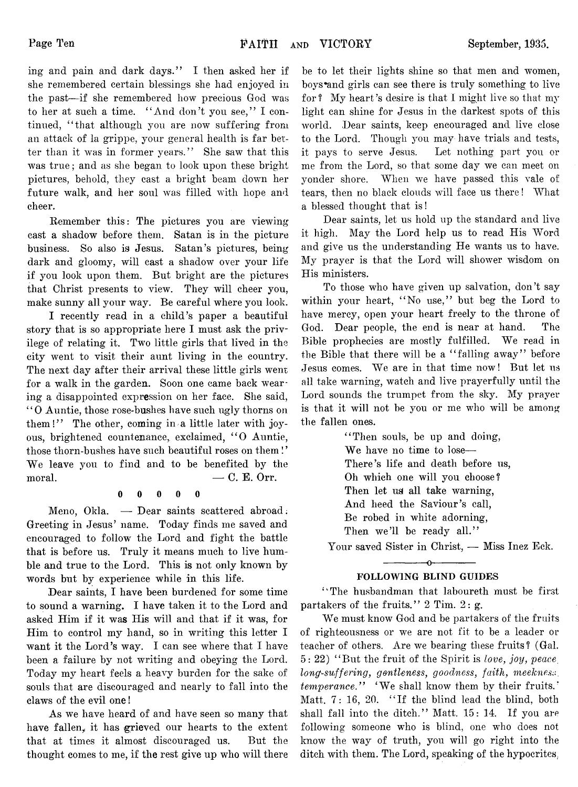ing and pain and dark days." I then asked her if she remembered certain blessings she had enjoyed in the past— if she remembered how precious God was to her at such a time. " And don't you see," I continued, "that although you are now suffering from an attack of la grippe, your general health is far better than it was in former years." She saw that this was true; and as she began to look upon these bright pictures, behold, they cast a bright beam down her future walk, and her soul was filled with hope and cheer.

Remember this: The pictures you are viewing cast a shadow before them. Satan is in the picture business. So also is Jesus. Satan's pictures, beingdark and gloomy, will cast a shadow over your life if you look upon them. But bright are the pictures that Christ presents to view. They will cheer you, make sunny all your way. Be careful where you look.

I recently read in a child's paper a beautiful story that is so appropriate here I must ask the privilege of relating it. Two little girls that lived in the city went to visit their aunt living in the country. The next day after their arrival these little girls went for a walk in the garden. Soon one came back wearing a disappointed expression on her face. She said, " 0 Auntie, those rose-bushes have such ugly thorns on them!" The other, coming in a little later with joyous, brightened countenance, exclaimed, " O Auntie, those thorn-bushes have such beautiful roses on them! ' We leave you to find and to be benefited by the moral.  $\qquad \qquad \qquad -C. \mathbf{E}.$  Orr.

# 0 0 0 0 0

Meno, Okla. — Dear saints scattered abroad; Greeting in Jesus' name. Today finds me saved and encouraged to follow the Lord and fight the battle that is before us. Truly it means much to live humble and true to the Lord. This is not only known by words but by experience while in this life.

Dear saints, I have been burdened for some time to sound a warning. I have taken it to the Lord and asked Him if it was His will and that if it was, for Him to control my hand, so in writing this letter I want it the Lord's way. I can see where that I have been a failure by not writing and obeying the Lord. Today my heart feels a heavy burden for the sake of souls that are discouraged and nearly to fall into the claws of the evil one!

As we have heard of and have seen so many that have fallen, it has grieved our hearts to the extent that at times it almost discouraged us. But the thought comes to me, if the rest give up who will there be to let their lights shine so that men and women, boys\*and girls can see there is truly something to live for ? My heart's desire is that I might live so that my light can shine for Jesus in the darkest spots of this world. Dear saints, keep encouraged and live close to the Lord. Though you may have trials and tests, it pays to serve Jesus. Let nothing part you or me from the Lord, so that some day we can meet on yonder shore. When we have passed this vale of tears, then no black clouds will face us there! What a blessed thought that is!

Dear saints, let us hold up the standard and live it high. May the Lord help us to read His Word and give us the understanding He wants us to have. My prayer is that the Lord will shower wisdom on His ministers.

To those who have given up salvation, don't say within your heart, "No use," but beg the Lord to have mercy, open your heart freely to the throne of God. Dear people, the end is near at hand. The Bible prophecies are mostly fulfilled. We read in the Bible that there will be a "falling away" before Jesus comes. We are in that time now! But let us all take warning, watch and live prayerfully until the Lord sounds the trumpet from the sky. My prayer is that it will not be you or me who will be among the fallen ones.

> "Then souls, be up and doing, We have no time to lose— There's life and death before us, Oh which one will you choose? Then let us all take warning, And heed the Saviour's call, Be robed in white adorning, Then we'll be ready all."

Your saved Sister in Christ, — Miss Inez Eck.

# $-0$ -FOLLOWING BLIND GUIDES

" The husbandman that laboureth must be first partakers of the fruits."  $2 \text{ Tim. } 2: g$ .

We must know God and be partakers of the fruits of righteousness or we are not fit to be a leader or teacher of others. Are we bearing these fruits? (Gal. 5: 22) " But the fruit of the Spirit is *love, joy, peace*. *long-suffering, gentleness, goodness, faith, meekness, temperance.*" 'We shall know them by their fruits.' Matt.  $7: 16, 20.$  "If the blind lead the blind, both shall fall into the ditch." Matt. 15: 14. If you are following someone who is blind, one who does not know the way of truth, you will go right into the ditch with them. The Lord, speaking of the hypocrites,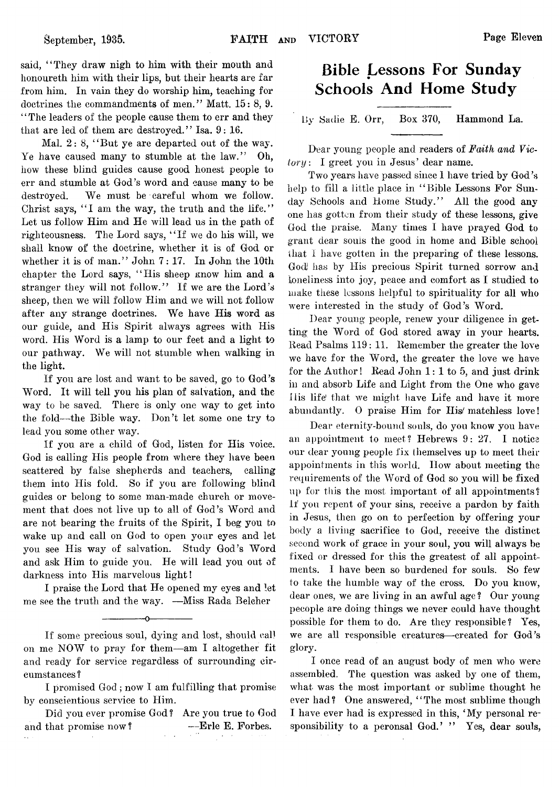said, "They draw nigh to him with their mouth and honoureth him with their lips, but their hearts are far from him. In vain they do worship him, teaching for doctrines the commandments of men." Matt. 15: 8, 9. ' ' The leaders of the people cause them to err and they that are led of them are destroyed." Isa.  $9:16$ .

Mal. 2: 8, "But ye are departed out of the way. Ye have caused many to stumble at the law." Oh, how these blind guides cause good honest people to err and stumble at God's word and cause many to be destroyed. We must be careful whom we follow. Christ says, "I am the way, the truth and the life." Let us follow Him and He will lead us in the path of righteousness. The Lord says, " If we do his will, we shall know of the doctrine, whether it is of God or whether it is of man." John 7: 17. In John the 10th chapter the Lord says, "His sheep know him and a stranger they will not follow." If we are the Lord's sheep, then we will follow Him and we will not follow after any strange doctrines. We have His word as our guide, and His Spirit always agrees with His word. His Word is a lamp to our feet and a light to our pathway. We will not stumble when walking in the light.

If you are lost and want to be saved, go to God's Word. It will tell you his plan of salvation, and the way to be saved. There is only one way to get into the fold— the Bible way. Don't let some one try to lead you some other way.

If you are a child of God, listen for His voice. God is calling His people from where they have been scattered by false shepherds and teachers, calling them into His fold. So if you are following blind guides or belong to some man-made church or movement that does not live up to all of God's Word and are not bearing the fruits of the Spirit, I beg you to wake up and call on God to open your eyes and let you see His way of salvation. Study God's Word and ask Him to guide you. He will lead you out of darkness into His marvelous light!

I praise the Lord that He opened my eyes and let me see the truth and the way. —Miss Rada Belcher

------------- o-------------

# **Bible Lessons For Sunday Schools And Home Study**

By Sadie E. Orr, Box 370, Hammond La.

Dear young people and readers of *Faith and Victory :* I greet you in Jesus' dear name.

Two years have passed since I have tried by God's help to fill a little place in "Bible Lessons For Sunday Schools and Home Study." All the good any one has gotten from their study of these lessons, give God the praise. Many times I have prayed God to grant dear souls the good in home and Bible school that I have gotten in the preparing of these lessons. God has by His precious Spirit turned sorrow and loneliness into joy, peace and comfort as I studied to make these lessons helpful to spirituality for all who were interested in the study of God's Word.

Dear young people, renew your diligence in getting the Word of God stored away in your hearts. Read Psalms 119 : 11. Remember the greater the love we have for the Word, the greater the love we have for the Author! Read John 1: 1 to 5, and just drink in and absorb Life and Light from the One who gave His life that we might have Life and have it more abundantly. 0 praise Him for His/ matchless love!

Dear eternity-bound souls, do you know you have an appointment to meet? Hebrews  $9: 27.$  I notice our dear young people fix themselves up to meet their appointments in this world. How about meeting the requirements of the Word of God so you will be fixed up for this the most important of all appointments? If you repent of your sins, receive a pardon by faith in Jesus, then go on to perfection by offering your body a living sacrifice to God, receive the distinct second work of grace in your soul, you will always be fixed or dressed for this the greatest of all appointments. I have been so burdened for souls. So few to take the humble way of the cross. Do you know, dear ones, we are living in an awful age ? Our young peeople are doing things we never could have thought possible for them to do. Are they responsible? Yes, we are all responsible creatures— created for God's glory.

I once read of an august body of men who were assembled. The question was asked by one of them, what was the most important or sublime thought he ever had? One answered, "The most sublime though I have ever had is expressed in this, ' My personal responsibility to a peronsal God.' " Yes, dear souls,

If some precious soul, dying and lost, should call on me NOW to pray for them— am I altogether fit and ready for service regardless of surrounding circumstances !

I promised God; now I am fulfilling that promise by conscientious service to Him.

Did you ever promise God ! Are you true to God and that promise now? ——Erle E. Forbes.  $\ddotsc$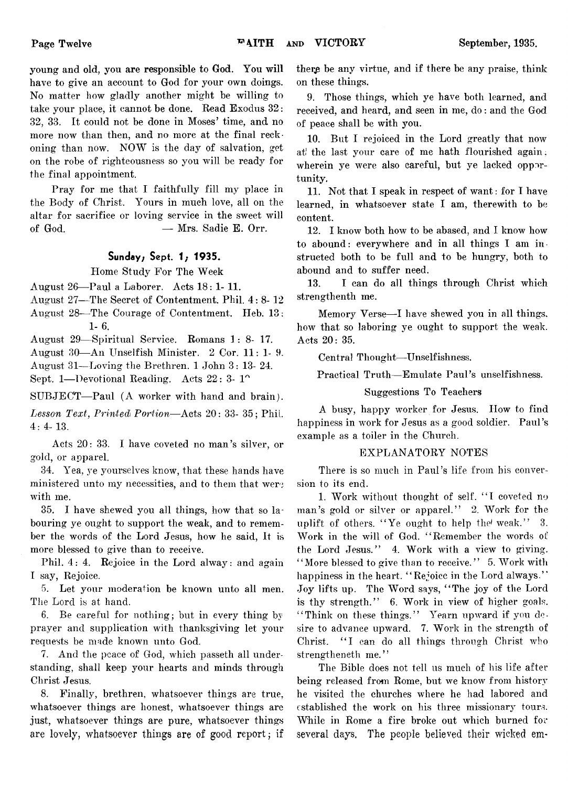young and old, you are responsible to God. You will have to give an account to God for your own doings. No matter how gladly another might be willing to take your place, it cannot be done. Read Exodus 32: 32, 33. It could not be done in Moses' time, and no more now than then, and no more at the final reckoning than now. NOW is the day of salvation, get on the robe of righteousness so you will be ready for the final appointment.

Pray for me that I faithfully fill my place in the Body of Christ. Yours in much love, all on the altar for sacrifice or loving service in the sweet will of God.  $-$  Mrs. Sadie E. Orr.

# Sunday; Sept. 1; 1935.

Home Study For The Week

August 26— Paul a Laborer. Acts 18: 1- 11.

August 27— The Secret of Contentment. Phil. 4:8-12

August 28— The Courage of Contentment. Heb. 13: **1**- **6**.

August 29— Spiritual Service. Romans 1: 8- 17.

August 30— An Unselfish Minister. 2 Cor. 11: 1- 9. August 31—Loving the Brethren. 1 John 3: 13- 24.

Sept. 1—Devotional Reading. Acts  $22:3.1^{\circ}$ 

SUBJECT— Paul (A worker with hand and brain).

*Lesson Text, Printed Portion*— Acts 20: 33- 35; Phil 4: 4- 13.

Acts 20: 33. I have coveted no man's silver, or gold, or apparel.

34. Yea, ye yourselves know, that these hands have ministered unto my necessities, and to them that were with me.

35. I have shewed you all things, how that so labouring ye ought to support the weak, and to remember the words of the Lord Jesus, how he said, it is more blessed to give than to receive.

Phil. 4: 4. Rejoice in the Lord alway: and again I say, Rejoice.

5. Let your moderation be known unto all men. The Lord is at hand.

6. Be careful for nothing; but in every thing by prayer and supplication with thanksgiving let your requests be made known unto God.

7. And the peace of God, which passeth all understanding, shall keep your hearts and minds through Christ Jesus.

8. Finally, brethren, whatsoever things are true, whatsoever things are honest, whatsoever things are just, whatsoever things are pure, whatsoever things are lovely, whatsoever things are of good report; if there be any virtue, and if there be any praise, think on these things.

9. Those things, which ye have both learned, and received, and heard, and seen in me, do: and the God of peace shall be with you.

10. But I rejoiced in the Lord greatly that now at' the last your care of me hath flourished again; wherein ye were also careful, but ye lacked opportunity.

11. Not that I speak in respect of want: for I have learned, in whatsoever state I am, therewith to be content.

12. I know both how to be abased, and I know how to abound: everywhere and in all things I am instructed both to be full and to be hungry, both to abound and to suffer need.

13. I can do all things through Christ which strengthenth me.

Memory Verse—I have shewed you in all things, how that so laboring ye ought to support the weak. Acts 20: 35.

Central Thought—Unselfishness.

Practical Truth— Emulate Paul's unselfishness.

## Suggestions To Teachers

A busy, happy worker for Jesus. How to find happiness in work for Jesus as a good soldier. Paul's example as a toiler in the Church.

## EXPLANATORY NOTES

There is so much in Paul's life from his conversion to its end.

1. Work without thought of self. " I coveted no man's gold or silver or apparel." 2. Work for the uplift of others. " Ye ought to help the' weak." 3. Work in the will of God. " Remember the words ot the Lord Jesus." 4. Work with a view to giving. "More blessed to give than to receive." 5. Work with happiness in the heart. "Rejoice in the Lord always." Joy lifts up. The Word says, " The joy of the Lord is thy strength." 6. Work in view of higher goals. "Think on these things." Yearn upward if you desire to advance upward. 7. Work in the strength of Christ. "I can do all things through Christ who strengtheneth me."

The Bible does not tell us much of his life after being released from Rome, but we know from history he visited the churches where he had labored and established the work on his three missionary tours. While in Rome a fire broke out which burned for several days, The people believed their wicked em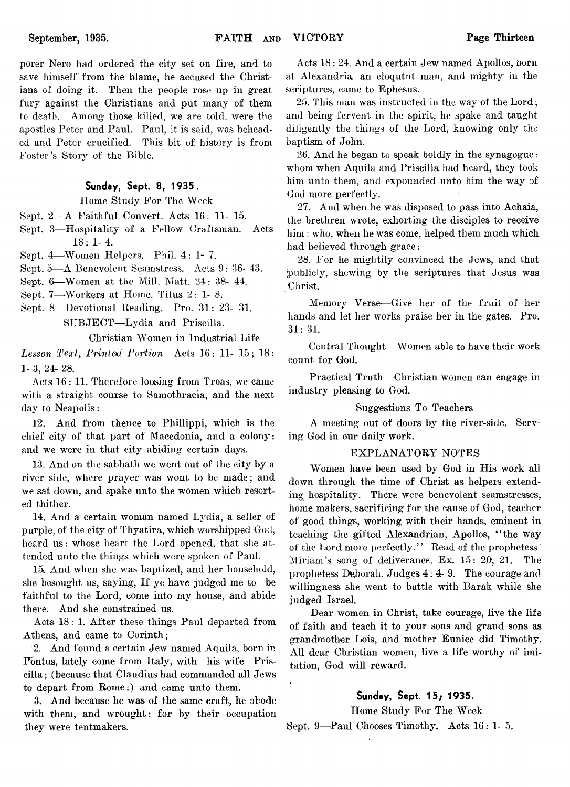porer Nero had ordered the city set on fire, and to save himself from the blame, he accused the Christians of doing it. Then the people rose up in great fury against the Christians and put many of them to death. Among those killed, we are told, were the apostles Peter and Paul. Paul, it is said, was beheaded and Peter crucified. This bit of history is from Poster's Story of the Bible.

# Sunday, Sept. 8, 1935.

Home Study For The Week

Sept. 2— A Faithful Convert. Acts 16: 11- 15.

Sept. 3— Hospitality of a Fellow Craftsman. Acts 18: 1- 4.

Sept. 4—Women Helpers. Phil. 4:1-7.

Sept. 5— A Benevolent Seamstress. Acts 9: 36- 43.

Sept. 6— Women at the Mill. Matt. 24: 38- 44.

Sept. 7—Workers at Home. Titus 2: 1-8.

Sept. 8— Devotional Reading. Pro. 31: 23- 31. SUBJECT—Lydia and Priscilla.

Christian Women in Industrial Life

*Lesson Text, Printed Portion*—Acts 16 : 11- 15; 18: 1- 3, 24- 28.

Acts 16: 11. Therefore loosing from Troas, we came with a straight course to Samothracia, and the next day to Neapolis:

12. And from thence to Pliillippi, which is the chief city of that part of Macedonia, and a colony: and we were in that city abiding certain days.

13. And on the sabbath we went out of the city by a river side, where prayer was wont to be made; and we sat down, and spake unto the women which resorted thither.

14. And a certain woman named Lydia, a seller of purple, of the city of Thyatira, which worshipped God, heard us: whose heart the Lord opened, that she attended unto the things which were spoken of Paul.

15. And when she was baptized, and her household, she besought us, saying, If ye have judged me to be faithful to the Lord, come into my house, and abide there. And she constrained us.

Acts 18: 1. After these things Paul departed from Athens, and came to Corinth;

2. And found a certain Jew named Aquila, born in Pontus, lately come from Italy, with his wife Priscilla; (because that Claudius had commanded all Jews to depart from Rome:) and came unto them.

3. And because he was of the same craft, he abode with them, and wrought: for by their occupation they were tentmakers.

Acts 18 : 24. And a certain Jew named Apollos, born at Alexandria, an eloqutnt man, and mighty in the scriptures, came to Ephesus.

25. This man was instructed in the way of the Lord; and being fervent in the spirit, he spake and taught diligently the things of the Lord, knowing only the baptism of John.

26. And he began to speak boldly in the synagogue: whom when Aquila and Priscilla had heard, they took him unto them, and expounded unto him the way of God more perfectly.

27. And when he was disposed to pass into Achaia, the brethren wrote, exhorting the disciples to receive him: who, when he was come, helped them much which had believed through grace:

28. For he mightily convinced the Jews, and that publicly, shewing by the scriptures that Jesus was Christ.

Memory Verse-—Give her of the fruit of her hands and let her works praise her in the gates. Pro. 31:31.

Central Thought—Women able to have their work count for God.

Practical Truth— Christian women can engage in industry pleasing to God.

## Suggestions To Teachers

A meeting out of doors by the river-side. Serving God in our daily work.

## EXPLANATORY NOTES

AVomen have, been used by God in His work all down through the time of Christ as helpers extending hospitality. There were benevolent seamstresses, home makers, sacrificing for the cause of God, teacher of good things, working; with their hands, eminent in teaching the gifted Alexandrian, Apollos, " the way of the Lord more perfectly." Read of the prophetess Miriam's song of deliverance. Ex. 15: 20, 21. The prophetess Deborah. Judges 4:4-9. The courage and willingness she went to battle with Barak while she judged Israel.

Dear women in Christ, take courage, live the life of faith and teach it to your sons and grand sons as grandmother Lois, and mother Eunice did Timothy. All dear Christian women, live a life worthy of imitation, God will reward.

# Sunday, Sept. 15/ 1935.

Home Study For The Week Sept. 9—Paul Chooses Timothy. Acts 16: 1- 5.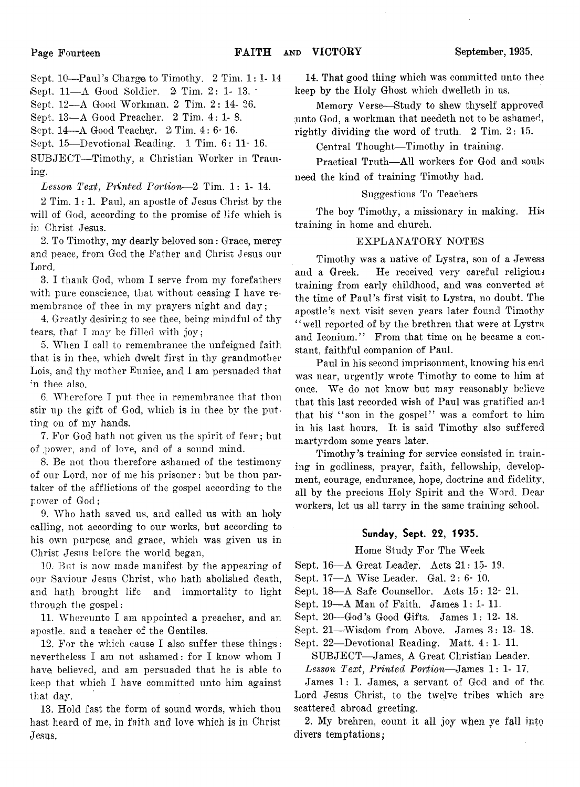Sept. 10— Paul's Charge to Timothy. 2 Tim. 1: 1- 14

iSept. 11— A Good Soldier. *2\* Tim. 2: 1- 13. \*

Sept. 12— A Good Workman. 2 Tim. 2: 14- 26.

Sept. 13—A Good Preacher. 2 Tim. 4:1-8.

Sept. 14— A Good Teacher. *2\* Tim. 4: 6-16.

Sept. 15— Devotional Reading. 1 Tim. 6: 11- 16.

SUBJECT-Timothy, a Christian Worker in Training.

Lesson Text, Printed Portion—2 Tim. 1: 1- 14.

2 Tim. 1: 1. Paul, an apostle of Jesus Christ by the will of God, according to the promise of life which is in Christ Jesus.

2. To Timothy, my dearly beloved son: Grace, mercy and peace, from God the Father and Christ Jesus our Lord.

3. I thank God, whom I serve from my forefathers with pure conscience, that without ceasing I have remembrance of thee in my prayers night and day;

4. Greatly desiring to see thee, being mindful of thy tears, that I may be filled with joy;

5. When I call to remembrance the unfeigned faith that is in thee, which dwelt first in thy grandmother Lois, and thy mother Eunice, and I am persuaded that m thee also.

6. Wherefore I put thee in remembrance that thou stir up the gift of God, which is in thee by the putting on of my hands.

7. For God hath not given us the spirit of fear; but of .power, and of love,, and of a sound mind.

8. Be not thou therefore ashamed of the testimony of our Lord, nor of me his prisoner: but be thou partaker of the afflictions of the gospel according to the power of God;

9. Who hath saved us, and called us with an holy calling, not according to our works, but according to his own purpose, and grace, which was given us in Christ Jesus before the world began,

10. But is now made manifest by the appearing of our Saviour Jesus Christ, who hath abolished death, and hath brought life and immortality to light through the gospel:

11. Whereunto I am appointed a preacher, and an apostle, and a teacher of the Gentiles.

12. For the which cause I also suffer these things: nevertheless I am not ashamed: for I know whom I have, believed, and am persuaded that he is able to keep that which I have committed unto him against that day.

13. Hold fast the form of sound words, which thou hast heard of me, in faith and love which is in Christ Jesus,

14. That good thing which was committed unto thee keep by the Holy Ghost which dwelleth in us.

Memory Verse— Study to shew thyself approved unto God, a workman that needeth not to be ashamed, rightly dividing the word of truth. 2 Tim. 2: 15.

Central Thought-Timothy in training.

Practical Truth— All workers for God and souls need the kind of training Timothy had.

## Suggestions To Teachers

The boy Timothy, a missionary in making. His training in home and church.

## EXPLANATORY NOTES

Timothy was a native of Lystra, son of a Jewess and a Greek. He received very careful religious training from early childhood, and was converted at the time of Paul's first visit to Lystra, no doubt. The apostle's next visit seven years later found Timothy "well reported of by the brethren that were at Lystra and Iconium." From that time on he became a constant, faithful companion of Paul.

Paul in his second imprisonment, knowing his end was near, urgently wrote Timothy to come to him at onee. We do not know but may reasonably believe that this last recorded wish of Paul was gratified and that his "son in the gospel" was a comfort to him in his last hours. It is said Timothy also suffered martyrdom some years later.

Timothy's training for service consisted in training in godliness, prayer, faith, fellowship, development, courage, endurance, hope, doctrine and fidelity, all by the precious Holy Spirit and the Word. Dear workers, let us all tarry in the same training school.

# Sunday, Sept. 22, 1935.

Home Study For The Week

Sept. 16—A Great Leader. Acts 21: 15- 19.

Sept. 17— A Wise Leader. Gal. 2: 6- 10.

Sept. 18— A Safe Counsellor. Acts 15: 12- 21.

Sept. 19— A Man of Faith. James 1: 1- 11.

Sept. 20— God's Good Gifts. James 1: 12- 18.

Sept. 21—'Wisdom from Above. James 3: 13- 18.

Sept. 22— Devotional Reading. Matt. 4: 1- 11.

SUBJECT— James, A Great Christian Leader.

*Lesson Text*, *Printed Portion*— James 1: 1- 17.

James 1: 1. James, a servant of God and of the Lord Jesus Christ, to the twelve tribes which are scattered abroad greeting.

2. My brehren, count it all joy when ye fall into divers temptations;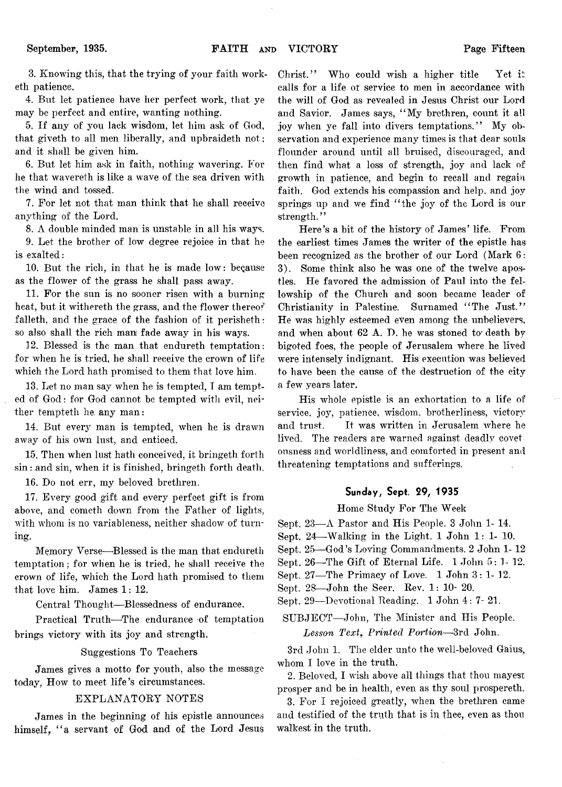3. Knowing this, that the trying of your faith worketh patience.

4. But let patience have her perfect work, that ye may be perfect and entire, wanting nothing.

5. If any of you lack wisdom, let him ask of God, that giveth to all men liberally, and upbraideth not; and it shall be given him.

6. But let him ask in faith, nothing wavering. For he that wavereth is like a wave of the sea driven with the wind and tossed.

7. For let not that man think that he shall receive anything of the Lord.

8. A double minded man is unstable in all his ways.

9. Let the brother of low degree rejoice in that he is exalted:

10. But the rich, in that he is made low: because as the flower of the grass he shall pass away.

11. For the sun is no sooner risen with a burning heat, but it withereth the grass, and the flower thereof falleth, and the grace of the fashion of it perisheth: so also shall the rich man fade away in his ways.

12. Blessed is the man that endureth temptation: for when he is tried, he shall receive the crown of life which the Lord hath promised to them that love him.

13. Let no man say when he is tempted, I am tempted of God: for God cannot be tempted with evil, neither tempteth he. any man:

14. But every man is tempted, when he is drawn away of his own lust, and enticed.

15. Then when lust hath conceived, it bringeth forth sin: and sin, when it is finished, bringeth forth death.

16. Do not err, my beloved brethren.

17. Every good gift and every perfect gift is from above, and cometh down from the Father of lights, with whom is no variableness, neither shadow of turning.

Memory Verse—Blessed is the man that, endureth temptation; for when he is tried, he shall receive the crown of life, which the Lord hath promised to them that love him. James 1: 12.

Central Thought— Blessedness of endurance.

Practical Truth—The endurance of temptation brings victory with its joy and strength.

Suggestions To Teachers

James gives a motto for youth, also the message today, How to meet life's circumstances.

# EXPLANATORY NOTES

James in the beginning of his epistle announces himself*f " a* servant of God and of the Lord Jesus Christ." Who could wish a higher title Yet it calls for a life of service to men in accordance with the will of God as revealed in Jesus Christ our Lord and Savior. James says, " My brethren, count it all joy when ye fall into divers temptations." My observation and experience many times is that dear souls flounder around until all bruised, discouraged, and then find what a loss of strength, joy and lack of growth in patience, and begin to recall and regain faith. God extends his compassion and help, and joy springs up and we find "the joy of the Lord is our strength."

Here's a bit of the history of James' life. From the earliest times James the writer of the epistle has been recognized as the brother of our Lord (Mark 6: 3). Some think also he was one of the twelve apostles. He favored the admission of Paul into the fellowship of the Church and soon became leader of Christianity in Palestine. Surnamed " The Just." He was highly esteemed even among the unbelievers, and when about 62 A. D. he was stoned to- death by bigoted foes, the people of Jerusalem where he lived were intensely indignant. His execution was believed to have been the cause of the destruction of the city a few years later.

His whole epistle is an exhortation to a life of service, joy, patience, wisdom, brotherliness, victory and trust. It was written in Jerusalem where he lived. The readers are warned against deadly covet ousness and worldliness, and comforted in present and threatening temptations and sufferings.

# Sunday, Sept. 29, 1935

Home Study For The Week

- Sept. 23— A Pastor and His People. 3 John 1- 14.
- Sept. 24— Walking in the Light. 1 John 1: 1- 10.
- Sept. 25—G od's Loving Commandments. 2 John 1- 12
- Sept. 26—The Gift of Eternal Life. 1 John 5:1- 12.
- Sept. 27— The Primacy of Love. 1 John 3: 1- 12.
- Sept. 28— John the Seer. Rev. 1: 10- 20.

Sept. 29—Devotional Reading. 1 John 4: 7- 21.

SUBJECT— John, The Minister and His People. *Lesson Text9 Printed Portion*—3rd John.

3rd John 1. The elder unto the well-beloved Gaius, whom I love in the truth.

2. Beloved, I wish above all things that thou mayest prosper and be in health, even as thy soul prospereth.

3. For I rejoiced greatly, when the brethren came and testified of the truth that is in thee, even as thou walkest in the truth.